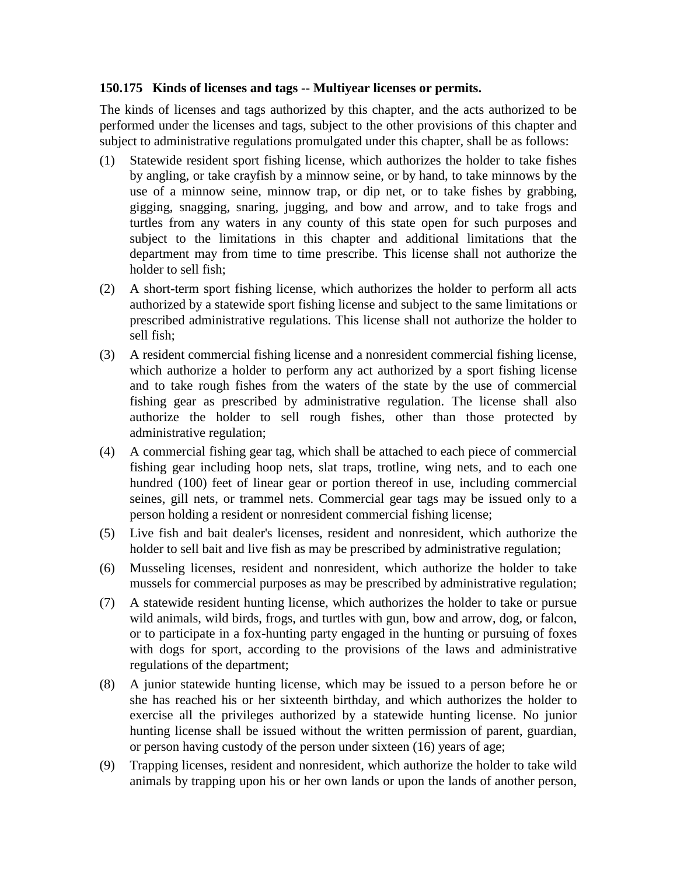## **150.175 Kinds of licenses and tags -- Multiyear licenses or permits.**

The kinds of licenses and tags authorized by this chapter, and the acts authorized to be performed under the licenses and tags, subject to the other provisions of this chapter and subject to administrative regulations promulgated under this chapter, shall be as follows:

- (1) Statewide resident sport fishing license, which authorizes the holder to take fishes by angling, or take crayfish by a minnow seine, or by hand, to take minnows by the use of a minnow seine, minnow trap, or dip net, or to take fishes by grabbing, gigging, snagging, snaring, jugging, and bow and arrow, and to take frogs and turtles from any waters in any county of this state open for such purposes and subject to the limitations in this chapter and additional limitations that the department may from time to time prescribe. This license shall not authorize the holder to sell fish;
- (2) A short-term sport fishing license, which authorizes the holder to perform all acts authorized by a statewide sport fishing license and subject to the same limitations or prescribed administrative regulations. This license shall not authorize the holder to sell fish;
- (3) A resident commercial fishing license and a nonresident commercial fishing license, which authorize a holder to perform any act authorized by a sport fishing license and to take rough fishes from the waters of the state by the use of commercial fishing gear as prescribed by administrative regulation. The license shall also authorize the holder to sell rough fishes, other than those protected by administrative regulation;
- (4) A commercial fishing gear tag, which shall be attached to each piece of commercial fishing gear including hoop nets, slat traps, trotline, wing nets, and to each one hundred (100) feet of linear gear or portion thereof in use, including commercial seines, gill nets, or trammel nets. Commercial gear tags may be issued only to a person holding a resident or nonresident commercial fishing license;
- (5) Live fish and bait dealer's licenses, resident and nonresident, which authorize the holder to sell bait and live fish as may be prescribed by administrative regulation;
- (6) Musseling licenses, resident and nonresident, which authorize the holder to take mussels for commercial purposes as may be prescribed by administrative regulation;
- (7) A statewide resident hunting license, which authorizes the holder to take or pursue wild animals, wild birds, frogs, and turtles with gun, bow and arrow, dog, or falcon, or to participate in a fox-hunting party engaged in the hunting or pursuing of foxes with dogs for sport, according to the provisions of the laws and administrative regulations of the department;
- (8) A junior statewide hunting license, which may be issued to a person before he or she has reached his or her sixteenth birthday, and which authorizes the holder to exercise all the privileges authorized by a statewide hunting license. No junior hunting license shall be issued without the written permission of parent, guardian, or person having custody of the person under sixteen (16) years of age;
- (9) Trapping licenses, resident and nonresident, which authorize the holder to take wild animals by trapping upon his or her own lands or upon the lands of another person,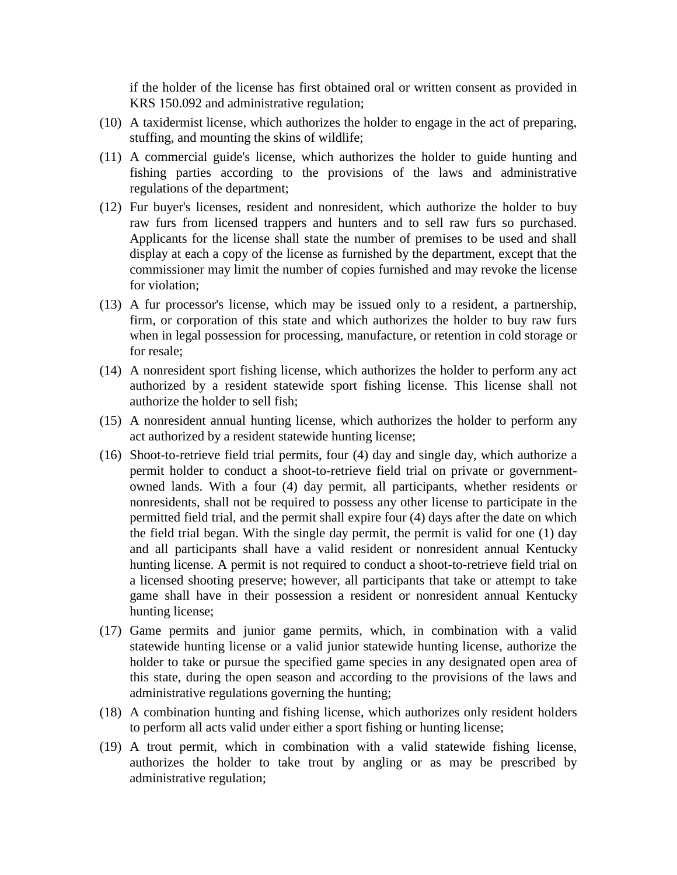if the holder of the license has first obtained oral or written consent as provided in KRS 150.092 and administrative regulation;

- (10) A taxidermist license, which authorizes the holder to engage in the act of preparing, stuffing, and mounting the skins of wildlife;
- (11) A commercial guide's license, which authorizes the holder to guide hunting and fishing parties according to the provisions of the laws and administrative regulations of the department;
- (12) Fur buyer's licenses, resident and nonresident, which authorize the holder to buy raw furs from licensed trappers and hunters and to sell raw furs so purchased. Applicants for the license shall state the number of premises to be used and shall display at each a copy of the license as furnished by the department, except that the commissioner may limit the number of copies furnished and may revoke the license for violation;
- (13) A fur processor's license, which may be issued only to a resident, a partnership, firm, or corporation of this state and which authorizes the holder to buy raw furs when in legal possession for processing, manufacture, or retention in cold storage or for resale;
- (14) A nonresident sport fishing license, which authorizes the holder to perform any act authorized by a resident statewide sport fishing license. This license shall not authorize the holder to sell fish;
- (15) A nonresident annual hunting license, which authorizes the holder to perform any act authorized by a resident statewide hunting license;
- (16) Shoot-to-retrieve field trial permits, four (4) day and single day, which authorize a permit holder to conduct a shoot-to-retrieve field trial on private or governmentowned lands. With a four (4) day permit, all participants, whether residents or nonresidents, shall not be required to possess any other license to participate in the permitted field trial, and the permit shall expire four (4) days after the date on which the field trial began. With the single day permit, the permit is valid for one (1) day and all participants shall have a valid resident or nonresident annual Kentucky hunting license. A permit is not required to conduct a shoot-to-retrieve field trial on a licensed shooting preserve; however, all participants that take or attempt to take game shall have in their possession a resident or nonresident annual Kentucky hunting license;
- (17) Game permits and junior game permits, which, in combination with a valid statewide hunting license or a valid junior statewide hunting license, authorize the holder to take or pursue the specified game species in any designated open area of this state, during the open season and according to the provisions of the laws and administrative regulations governing the hunting;
- (18) A combination hunting and fishing license, which authorizes only resident holders to perform all acts valid under either a sport fishing or hunting license;
- (19) A trout permit, which in combination with a valid statewide fishing license, authorizes the holder to take trout by angling or as may be prescribed by administrative regulation;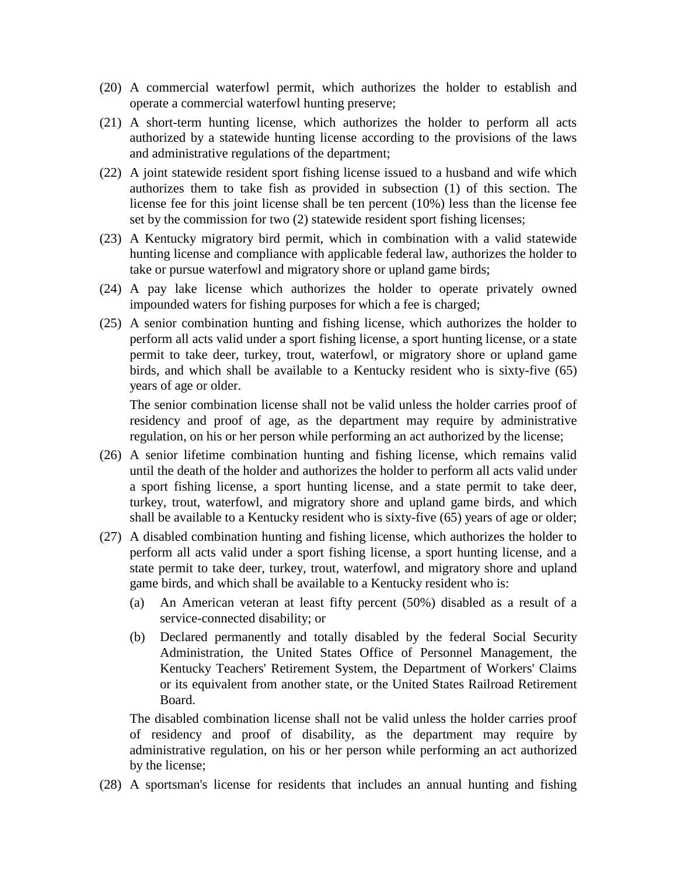- (20) A commercial waterfowl permit, which authorizes the holder to establish and operate a commercial waterfowl hunting preserve;
- (21) A short-term hunting license, which authorizes the holder to perform all acts authorized by a statewide hunting license according to the provisions of the laws and administrative regulations of the department;
- (22) A joint statewide resident sport fishing license issued to a husband and wife which authorizes them to take fish as provided in subsection (1) of this section. The license fee for this joint license shall be ten percent (10%) less than the license fee set by the commission for two (2) statewide resident sport fishing licenses;
- (23) A Kentucky migratory bird permit, which in combination with a valid statewide hunting license and compliance with applicable federal law, authorizes the holder to take or pursue waterfowl and migratory shore or upland game birds;
- (24) A pay lake license which authorizes the holder to operate privately owned impounded waters for fishing purposes for which a fee is charged;
- (25) A senior combination hunting and fishing license, which authorizes the holder to perform all acts valid under a sport fishing license, a sport hunting license, or a state permit to take deer, turkey, trout, waterfowl, or migratory shore or upland game birds, and which shall be available to a Kentucky resident who is sixty-five (65) years of age or older.

The senior combination license shall not be valid unless the holder carries proof of residency and proof of age, as the department may require by administrative regulation, on his or her person while performing an act authorized by the license;

- (26) A senior lifetime combination hunting and fishing license, which remains valid until the death of the holder and authorizes the holder to perform all acts valid under a sport fishing license, a sport hunting license, and a state permit to take deer, turkey, trout, waterfowl, and migratory shore and upland game birds, and which shall be available to a Kentucky resident who is sixty-five (65) years of age or older;
- (27) A disabled combination hunting and fishing license, which authorizes the holder to perform all acts valid under a sport fishing license, a sport hunting license, and a state permit to take deer, turkey, trout, waterfowl, and migratory shore and upland game birds, and which shall be available to a Kentucky resident who is:
	- (a) An American veteran at least fifty percent (50%) disabled as a result of a service-connected disability; or
	- (b) Declared permanently and totally disabled by the federal Social Security Administration, the United States Office of Personnel Management, the Kentucky Teachers' Retirement System, the Department of Workers' Claims or its equivalent from another state, or the United States Railroad Retirement Board.

The disabled combination license shall not be valid unless the holder carries proof of residency and proof of disability, as the department may require by administrative regulation, on his or her person while performing an act authorized by the license;

(28) A sportsman's license for residents that includes an annual hunting and fishing